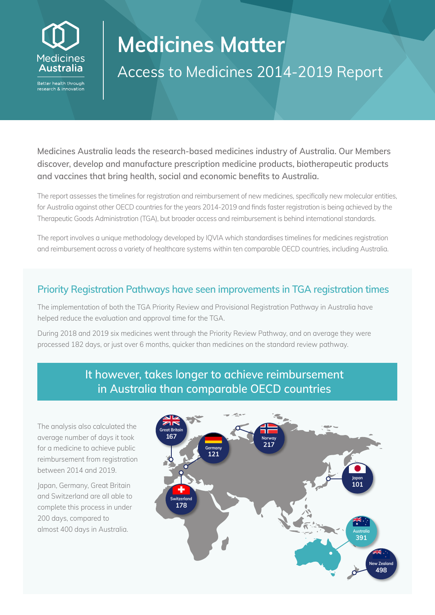# Medicines Australia

Better health through<br>research & innovation

## **Medicines Matter**

Access to Medicines 2014-2019 Report

**Medicines Australia leads the research-based medicines industry of Australia. Our Members discover, develop and manufacture prescription medicine products, biotherapeutic products and vaccines that bring health, social and economic benefits to Australia.** 

The report assesses the timelines for registration and reimbursement of new medicines, specifically new molecular entities, for Australia against other OECD countries for the years 2014-2019 and finds faster registration is being achieved by the Therapeutic Goods Administration (TGA), but broader access and reimbursement is behind international standards.

The report involves a unique methodology developed by IQVIA which standardises timelines for medicines registration and reimbursement across a variety of healthcare systems within ten comparable OECD countries, including Australia.

#### **Priority Registration Pathways have seen improvements in TGA registration times**

The implementation of both the TGA Priority Review and Provisional Registration Pathway in Australia have helped reduce the evaluation and approval time for the TGA.

During 2018 and 2019 six medicines went through the Priority Review Pathway, and on average they were processed 182 days, or just over 6 months, quicker than medicines on the standard review pathway.

## **It however, takes longer to achieve reimbursement in Australia than comparable OECD countries**

The analysis also calculated the average number of days it took for a medicine to achieve public reimbursement from registration between 2014 and 2019.

Japan, Germany, Great Britain and Switzerland are all able to complete this process in under 200 days, compared to almost 400 days in Australia.